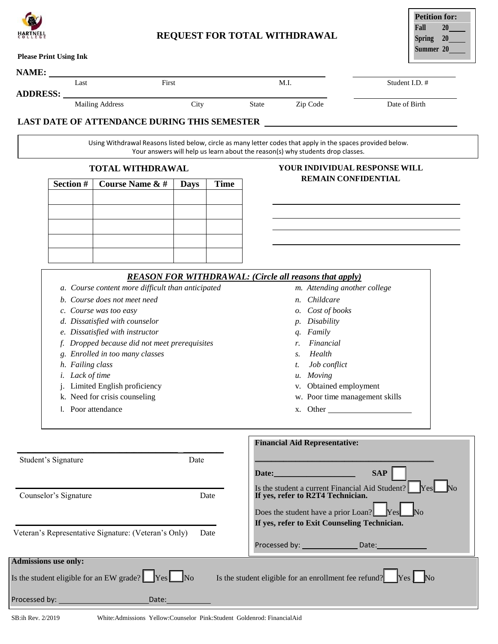

## **REQUEST FOR TOTAL WITHDRAWAL**

| <b>Petition for:</b> |    |  |  |  |
|----------------------|----|--|--|--|
| Fall                 | 20 |  |  |  |
| <b>Spring</b>        | 20 |  |  |  |
| Summer 20            |    |  |  |  |
|                      |    |  |  |  |

|                               | Last                                                                                                                                                                                                                                                                                                                                                                                                     |                                                      | First       |                                                                               | M.I.                                                                                                                                                                                                                                                             | Student I.D. # |  |
|-------------------------------|----------------------------------------------------------------------------------------------------------------------------------------------------------------------------------------------------------------------------------------------------------------------------------------------------------------------------------------------------------------------------------------------------------|------------------------------------------------------|-------------|-------------------------------------------------------------------------------|------------------------------------------------------------------------------------------------------------------------------------------------------------------------------------------------------------------------------------------------------------------|----------------|--|
| <b>ADDRESS:</b>               |                                                                                                                                                                                                                                                                                                                                                                                                          | <b>Mailing Address</b><br>City                       |             | State                                                                         | Zip Code                                                                                                                                                                                                                                                         | Date of Birth  |  |
|                               |                                                                                                                                                                                                                                                                                                                                                                                                          |                                                      |             |                                                                               | Using Withdrawal Reasons listed below, circle as many letter codes that apply in the spaces provided below.<br>Your answers will help us learn about the reason(s) why students drop classes.                                                                    |                |  |
|                               | <b>TOTAL WITHDRAWAL</b>                                                                                                                                                                                                                                                                                                                                                                                  |                                                      |             |                                                                               | YOUR INDIVIDUAL RESPONSE WILL                                                                                                                                                                                                                                    |                |  |
|                               | Section #                                                                                                                                                                                                                                                                                                                                                                                                | <b>Course Name &amp; #</b>                           | <b>Days</b> | <b>Time</b>                                                                   | <b>REMAIN CONFIDENTIAL</b>                                                                                                                                                                                                                                       |                |  |
|                               |                                                                                                                                                                                                                                                                                                                                                                                                          |                                                      |             |                                                                               |                                                                                                                                                                                                                                                                  |                |  |
|                               |                                                                                                                                                                                                                                                                                                                                                                                                          |                                                      |             |                                                                               |                                                                                                                                                                                                                                                                  |                |  |
|                               |                                                                                                                                                                                                                                                                                                                                                                                                          |                                                      |             |                                                                               |                                                                                                                                                                                                                                                                  |                |  |
|                               |                                                                                                                                                                                                                                                                                                                                                                                                          |                                                      |             |                                                                               |                                                                                                                                                                                                                                                                  |                |  |
|                               |                                                                                                                                                                                                                                                                                                                                                                                                          |                                                      |             |                                                                               | <b>REASON FOR WITHDRAWAL: (Circle all reasons that apply)</b>                                                                                                                                                                                                    |                |  |
|                               | a. Course content more difficult than anticipated<br>b. Course does not meet need<br>c. Course was too easy<br>d. Dissatisfied with counselor<br>e. Dissatisfied with instructor<br>f. Dropped because did not meet prerequisites<br>g. Enrolled in too many classes<br>h. Failing class<br><i>i.</i> Lack of time<br>Limited English proficiency<br>k. Need for crisis counseling<br>l. Poor attendance |                                                      |             |                                                                               | m. Attending another college<br>Childcare<br><i>n</i> .<br>o. Cost of books<br>Disability<br>Family<br>q.<br>Financial<br>r.<br>Health<br>S <sub>z</sub><br>Job conflict<br>t.<br>u. Moving<br>Obtained employment<br>w. Poor time management skills<br>x. Other |                |  |
| Student's Signature<br>Date   |                                                                                                                                                                                                                                                                                                                                                                                                          |                                                      |             | <b>Financial Aid Representative:</b>                                          |                                                                                                                                                                                                                                                                  |                |  |
|                               |                                                                                                                                                                                                                                                                                                                                                                                                          |                                                      |             |                                                                               | Date: No. 1996                                                                                                                                                                                                                                                   | <b>SAP</b>     |  |
| Counselor's Signature<br>Date |                                                                                                                                                                                                                                                                                                                                                                                                          |                                                      |             | If yes, refer to R2T4 Technician.<br>Does the student have a prior Loan? [Pes | Is the student a current Financial Aid Student? [Yes]                                                                                                                                                                                                            |                |  |
|                               |                                                                                                                                                                                                                                                                                                                                                                                                          | Veteran's Representative Signature: (Veteran's Only) | Date        |                                                                               | If yes, refer to Exit Counseling Technician.                                                                                                                                                                                                                     |                |  |
| <b>Admissions use only:</b>   |                                                                                                                                                                                                                                                                                                                                                                                                          |                                                      |             |                                                                               |                                                                                                                                                                                                                                                                  |                |  |